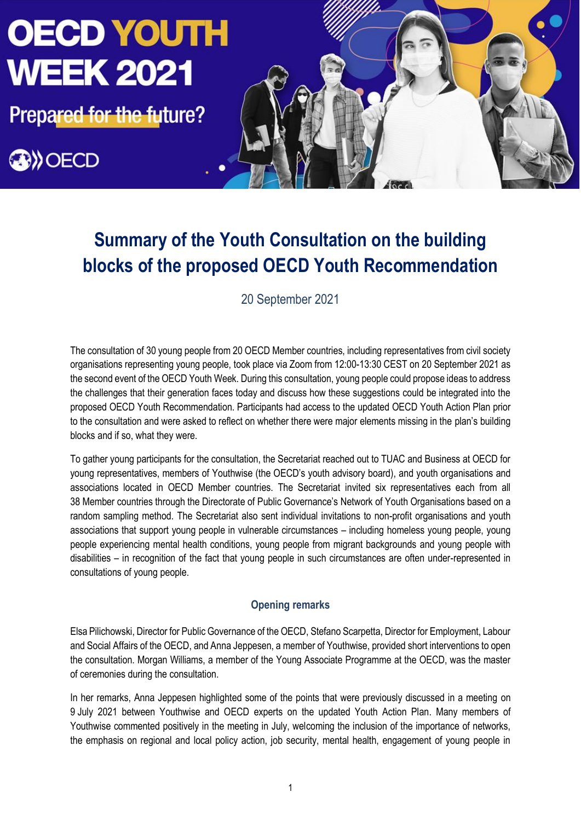**Prepared for the future?** 





# **Summary of the Youth Consultation on the building blocks of the proposed OECD Youth Recommendation**

20 September 2021

The consultation of 30 young people from 20 OECD Member countries, including representatives from civil society organisations representing young people, took place via Zoom from 12:00-13:30 CEST on 20 September 2021 as the second event of the OECD Youth Week. During this consultation, young people could propose ideas to address the challenges that their generation faces today and discuss how these suggestions could be integrated into the proposed OECD Youth Recommendation. Participants had access to the updated OECD Youth Action Plan prior to the consultation and were asked to reflect on whether there were major elements missing in the plan's building blocks and if so, what they were.

To gather young participants for the consultation, the Secretariat reached out to TUAC and Business at OECD for young representatives, members of Youthwise (the OECD's youth advisory board), and youth organisations and associations located in OECD Member countries. The Secretariat invited six representatives each from all 38 Member countries through the Directorate of Public Governance's Network of Youth Organisations based on a random sampling method. The Secretariat also sent individual invitations to non-profit organisations and youth associations that support young people in vulnerable circumstances – including homeless young people, young people experiencing mental health conditions, young people from migrant backgrounds and young people with disabilities – in recognition of the fact that young people in such circumstances are often under-represented in consultations of young people.

## **Opening remarks**

Elsa Pilichowski, Director for Public Governance of the OECD, Stefano Scarpetta, Director for Employment, Labour and Social Affairs of the OECD, and Anna Jeppesen, a member of Youthwise, provided short interventions to open the consultation. Morgan Williams, a member of the Young Associate Programme at the OECD, was the master of ceremonies during the consultation.

In her remarks, Anna Jeppesen highlighted some of the points that were previously discussed in a meeting on 9 July 2021 between Youthwise and OECD experts on the updated Youth Action Plan. Many members of Youthwise commented positively in the meeting in July, welcoming the inclusion of the importance of networks, the emphasis on regional and local policy action, job security, mental health, engagement of young people in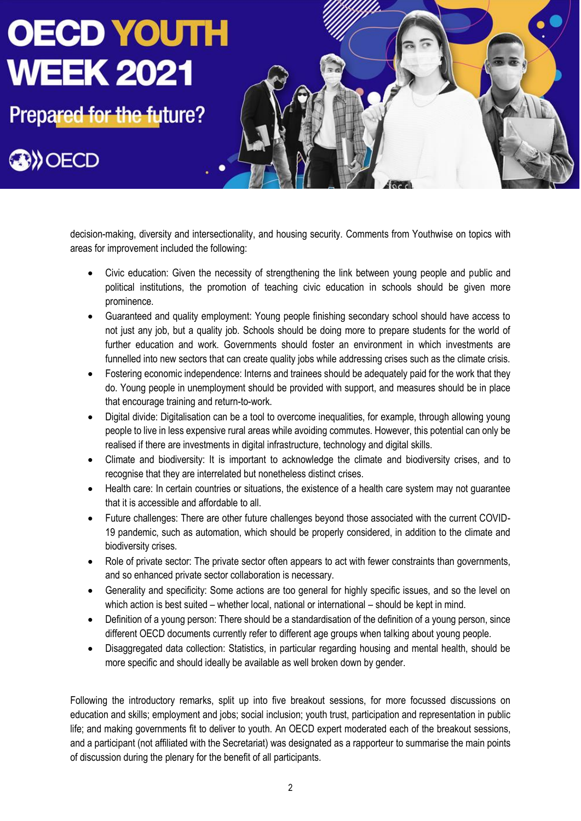**Prepared for the future?** 

**BIOECD** 



decision-making, diversity and intersectionality, and housing security. Comments from Youthwise on topics with areas for improvement included the following:

- Civic education: Given the necessity of strengthening the link between young people and public and political institutions, the promotion of teaching civic education in schools should be given more prominence.
- Guaranteed and quality employment: Young people finishing secondary school should have access to not just any job, but a quality job. Schools should be doing more to prepare students for the world of further education and work. Governments should foster an environment in which investments are funnelled into new sectors that can create quality jobs while addressing crises such as the climate crisis.
- Fostering economic independence: Interns and trainees should be adequately paid for the work that they do. Young people in unemployment should be provided with support, and measures should be in place that encourage training and return-to-work.
- Digital divide: Digitalisation can be a tool to overcome inequalities, for example, through allowing young people to live in less expensive rural areas while avoiding commutes. However, this potential can only be realised if there are investments in digital infrastructure, technology and digital skills.
- Climate and biodiversity: It is important to acknowledge the climate and biodiversity crises, and to recognise that they are interrelated but nonetheless distinct crises.
- Health care: In certain countries or situations, the existence of a health care system may not guarantee that it is accessible and affordable to all.
- Future challenges: There are other future challenges beyond those associated with the current COVID-19 pandemic, such as automation, which should be properly considered, in addition to the climate and biodiversity crises.
- Role of private sector: The private sector often appears to act with fewer constraints than governments, and so enhanced private sector collaboration is necessary.
- Generality and specificity: Some actions are too general for highly specific issues, and so the level on which action is best suited – whether local, national or international – should be kept in mind.
- Definition of a young person: There should be a standardisation of the definition of a young person, since different OECD documents currently refer to different age groups when talking about young people.
- Disaggregated data collection: Statistics, in particular regarding housing and mental health, should be more specific and should ideally be available as well broken down by gender.

Following the introductory remarks, split up into five breakout sessions, for more focussed discussions on education and skills; employment and jobs; social inclusion; youth trust, participation and representation in public life; and making governments fit to deliver to youth. An OECD expert moderated each of the breakout sessions, and a participant (not affiliated with the Secretariat) was designated as a rapporteur to summarise the main points of discussion during the plenary for the benefit of all participants.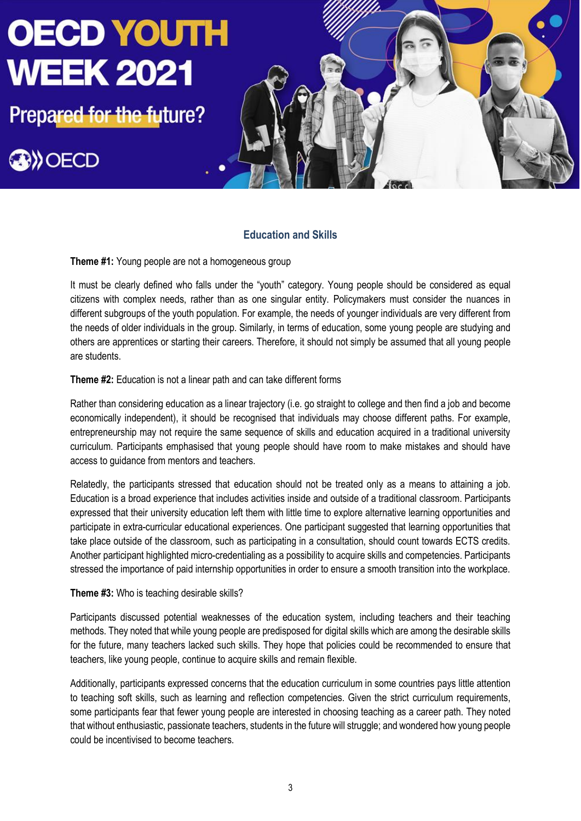

## **Education and Skills**

**Theme #1:** Young people are not a homogeneous group

It must be clearly defined who falls under the "youth" category. Young people should be considered as equal citizens with complex needs, rather than as one singular entity. Policymakers must consider the nuances in different subgroups of the youth population. For example, the needs of younger individuals are very different from the needs of older individuals in the group. Similarly, in terms of education, some young people are studying and others are apprentices or starting their careers. Therefore, it should not simply be assumed that all young people are students.

#### **Theme #2:** Education is not a linear path and can take different forms

Rather than considering education as a linear trajectory (i.e. go straight to college and then find a job and become economically independent), it should be recognised that individuals may choose different paths. For example, entrepreneurship may not require the same sequence of skills and education acquired in a traditional university curriculum. Participants emphasised that young people should have room to make mistakes and should have access to guidance from mentors and teachers.

Relatedly, the participants stressed that education should not be treated only as a means to attaining a job. Education is a broad experience that includes activities inside and outside of a traditional classroom. Participants expressed that their university education left them with little time to explore alternative learning opportunities and participate in extra-curricular educational experiences. One participant suggested that learning opportunities that take place outside of the classroom, such as participating in a consultation, should count towards ECTS credits. Another participant highlighted micro-credentialing as a possibility to acquire skills and competencies. Participants stressed the importance of paid internship opportunities in order to ensure a smooth transition into the workplace.

#### **Theme #3:** Who is teaching desirable skills?

Participants discussed potential weaknesses of the education system, including teachers and their teaching methods. They noted that while young people are predisposed for digital skills which are among the desirable skills for the future, many teachers lacked such skills. They hope that policies could be recommended to ensure that teachers, like young people, continue to acquire skills and remain flexible.

Additionally, participants expressed concerns that the education curriculum in some countries pays little attention to teaching soft skills, such as learning and reflection competencies. Given the strict curriculum requirements, some participants fear that fewer young people are interested in choosing teaching as a career path. They noted that without enthusiastic, passionate teachers, students in the future will struggle; and wondered how young people could be incentivised to become teachers.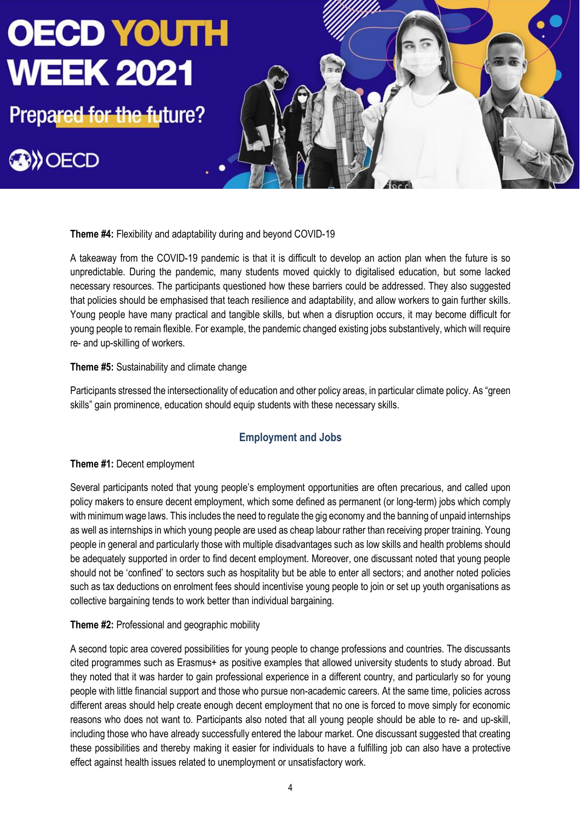**Prepared for the future?** 

**BIOECD** 



**Theme #4:** Flexibility and adaptability during and beyond COVID-19

A takeaway from the COVID-19 pandemic is that it is difficult to develop an action plan when the future is so unpredictable. During the pandemic, many students moved quickly to digitalised education, but some lacked necessary resources. The participants questioned how these barriers could be addressed. They also suggested that policies should be emphasised that teach resilience and adaptability, and allow workers to gain further skills. Young people have many practical and tangible skills, but when a disruption occurs, it may become difficult for young people to remain flexible. For example, the pandemic changed existing jobs substantively, which will require re- and up-skilling of workers.

### **Theme #5:** Sustainability and climate change

Participants stressed the intersectionality of education and other policy areas, in particular climate policy. As "green skills" gain prominence, education should equip students with these necessary skills.

# **Employment and Jobs**

### **Theme #1:** Decent employment

Several participants noted that young people's employment opportunities are often precarious, and called upon policy makers to ensure decent employment, which some defined as permanent (or long-term) jobs which comply with minimum wage laws. This includes the need to regulate the gig economy and the banning of unpaid internships as well as internships in which young people are used as cheap labour rather than receiving proper training. Young people in general and particularly those with multiple disadvantages such as low skills and health problems should be adequately supported in order to find decent employment. Moreover, one discussant noted that young people should not be 'confined' to sectors such as hospitality but be able to enter all sectors; and another noted policies such as tax deductions on enrolment fees should incentivise young people to join or set up youth organisations as collective bargaining tends to work better than individual bargaining.

### **Theme #2:** Professional and geographic mobility

A second topic area covered possibilities for young people to change professions and countries. The discussants cited programmes such as Erasmus+ as positive examples that allowed university students to study abroad. But they noted that it was harder to gain professional experience in a different country, and particularly so for young people with little financial support and those who pursue non-academic careers. At the same time, policies across different areas should help create enough decent employment that no one is forced to move simply for economic reasons who does not want to. Participants also noted that all young people should be able to re- and up-skill, including those who have already successfully entered the labour market. One discussant suggested that creating these possibilities and thereby making it easier for individuals to have a fulfilling job can also have a protective effect against health issues related to unemployment or unsatisfactory work.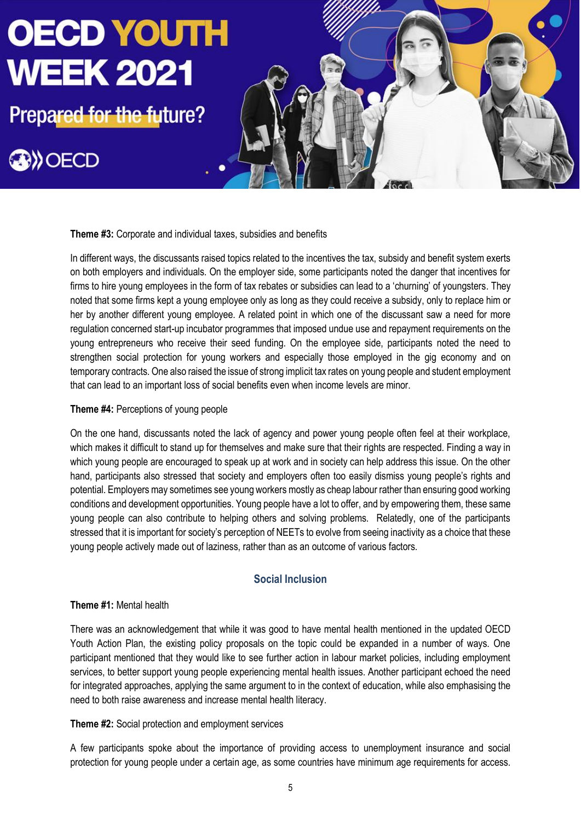**Prepared for the future?** 

# **OW OECD**



### **Theme #3:** Corporate and individual taxes, subsidies and benefits

In different ways, the discussants raised topics related to the incentives the tax, subsidy and benefit system exerts on both employers and individuals. On the employer side, some participants noted the danger that incentives for firms to hire young employees in the form of tax rebates or subsidies can lead to a 'churning' of youngsters. They noted that some firms kept a young employee only as long as they could receive a subsidy, only to replace him or her by another different young employee. A related point in which one of the discussant saw a need for more regulation concerned start-up incubator programmes that imposed undue use and repayment requirements on the young entrepreneurs who receive their seed funding. On the employee side, participants noted the need to strengthen social protection for young workers and especially those employed in the gig economy and on temporary contracts. One also raised the issue of strong implicit tax rates on young people and student employment that can lead to an important loss of social benefits even when income levels are minor.

#### **Theme #4:** Perceptions of young people

On the one hand, discussants noted the lack of agency and power young people often feel at their workplace, which makes it difficult to stand up for themselves and make sure that their rights are respected. Finding a way in which young people are encouraged to speak up at work and in society can help address this issue. On the other hand, participants also stressed that society and employers often too easily dismiss young people's rights and potential. Employers may sometimes see young workers mostly as cheap labour rather than ensuring good working conditions and development opportunities. Young people have a lot to offer, and by empowering them, these same young people can also contribute to helping others and solving problems. Relatedly, one of the participants stressed that it is important for society's perception of NEETs to evolve from seeing inactivity as a choice that these young people actively made out of laziness, rather than as an outcome of various factors.

## **Social Inclusion**

### **Theme #1:** Mental health

There was an acknowledgement that while it was good to have mental health mentioned in the updated OECD Youth Action Plan, the existing policy proposals on the topic could be expanded in a number of ways. One participant mentioned that they would like to see further action in labour market policies, including employment services, to better support young people experiencing mental health issues. Another participant echoed the need for integrated approaches, applying the same argument to in the context of education, while also emphasising the need to both raise awareness and increase mental health literacy.

### **Theme #2:** Social protection and employment services

A few participants spoke about the importance of providing access to unemployment insurance and social protection for young people under a certain age, as some countries have minimum age requirements for access.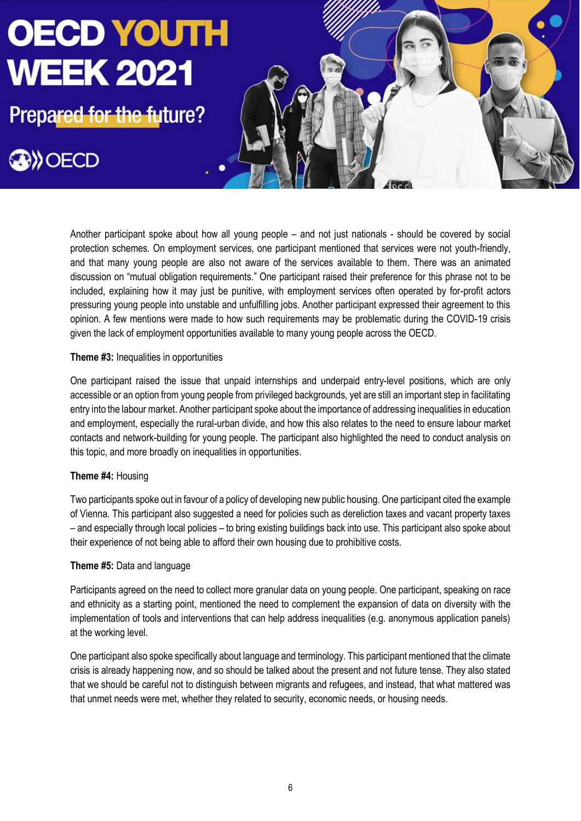**Prepared for the future?** 

**OW OECD** 



Another participant spoke about how all young people – and not just nationals - should be covered by social protection schemes. On employment services, one participant mentioned that services were not youth-friendly, and that many young people are also not aware of the services available to them. There was an animated discussion on "mutual obligation requirements." One participant raised their preference for this phrase not to be included, explaining how it may just be punitive, with employment services often operated by for-profit actors pressuring young people into unstable and unfulfilling jobs. Another participant expressed their agreement to this opinion. A few mentions were made to how such requirements may be problematic during the COVID-19 crisis given the lack of employment opportunities available to many young people across the OECD.

### **Theme #3:** Inequalities in opportunities

One participant raised the issue that unpaid internships and underpaid entry-level positions, which are only accessible or an option from young people from privileged backgrounds, yet are still an important step in facilitating entry into the labour market. Another participant spoke about the importance of addressing inequalities in education and employment, especially the rural-urban divide, and how this also relates to the need to ensure labour market contacts and network-building for young people. The participant also highlighted the need to conduct analysis on this topic, and more broadly on inequalities in opportunities.

### **Theme #4:** Housing

Two participants spoke out in favour of a policy of developing new public housing. One participant cited the example of Vienna. This participant also suggested a need for policies such as dereliction taxes and vacant property taxes – and especially through local policies – to bring existing buildings back into use. This participant also spoke about their experience of not being able to afford their own housing due to prohibitive costs.

### **Theme #5:** Data and language

Participants agreed on the need to collect more granular data on young people. One participant, speaking on race and ethnicity as a starting point, mentioned the need to complement the expansion of data on diversity with the implementation of tools and interventions that can help address inequalities (e.g. anonymous application panels) at the working level.

One participant also spoke specifically about language and terminology. This participant mentioned that the climate crisis is already happening now, and so should be talked about the present and not future tense. They also stated that we should be careful not to distinguish between migrants and refugees, and instead, that what mattered was that unmet needs were met, whether they related to security, economic needs, or housing needs.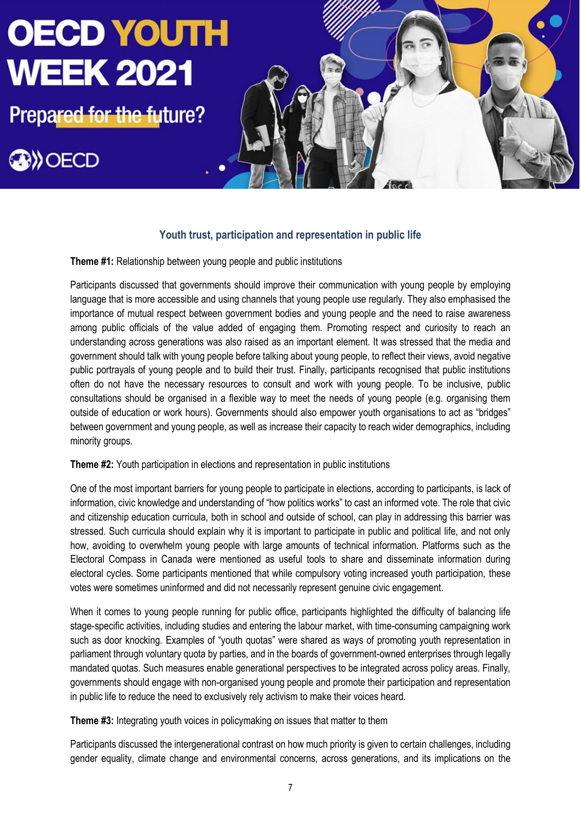**Prepared for the future?** 

# **BIOECD**



# **Youth trust, participation and representation in public life**

**Theme #1:** Relationship between young people and public institutions

Participants discussed that governments should improve their communication with young people by employing language that is more accessible and using channels that young people use regularly. They also emphasised the importance of mutual respect between government bodies and young people and the need to raise awareness among public officials of the value added of engaging them. Promoting respect and curiosity to reach an understanding across generations was also raised as an important element. It was stressed that the media and government should talk with young people before talking about young people, to reflect their views, avoid negative public portrayals of young people and to build their trust. Finally, participants recognised that public institutions often do not have the necessary resources to consult and work with young people. To be inclusive, public consultations should be organised in a flexible way to meet the needs of young people (e.g. organising them outside of education or work hours). Governments should also empower youth organisations to act as "bridges" between government and young people, as well as increase their capacity to reach wider demographics, including minority groups.

**Theme #2:** Youth participation in elections and representation in public institutions

One of the most important barriers for young people to participate in elections, according to participants, is lack of information, civic knowledge and understanding of "how politics works" to cast an informed vote. The role that civic and citizenship education curricula, both in school and outside of school, can play in addressing this barrier was stressed. Such curricula should explain why it is important to participate in public and political life, and not only how, avoiding to overwhelm young people with large amounts of technical information. Platforms such as the Electoral Compass in Canada were mentioned as useful tools to share and disseminate information during electoral cycles. Some participants mentioned that while compulsory voting increased youth participation, these votes were sometimes uninformed and did not necessarily represent genuine civic engagement.

When it comes to young people running for public office, participants highlighted the difficulty of balancing life stage-specific activities, including studies and entering the labour market, with time-consuming campaigning work such as door knocking. Examples of "youth quotas" were shared as ways of promoting youth representation in parliament through voluntary quota by parties, and in the boards of government-owned enterprises through legally mandated quotas. Such measures enable generational perspectives to be integrated across policy areas. Finally, governments should engage with non-organised young people and promote their participation and representation in public life to reduce the need to exclusively rely activism to make their voices heard.

**Theme #3:** Integrating youth voices in policymaking on issues that matter to them

Participants discussed the intergenerational contrast on how much priority is given to certain challenges, including gender equality, climate change and environmental concerns, across generations, and its implications on the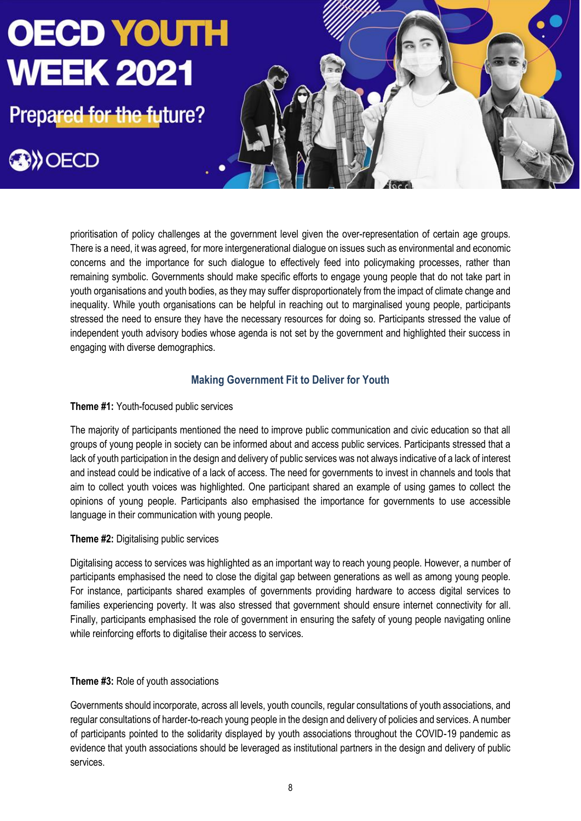**Prepared for the future?** 

**OW OECD** 



prioritisation of policy challenges at the government level given the over-representation of certain age groups. There is a need, it was agreed, for more intergenerational dialogue on issues such as environmental and economic concerns and the importance for such dialogue to effectively feed into policymaking processes, rather than remaining symbolic. Governments should make specific efforts to engage young people that do not take part in youth organisations and youth bodies, as they may suffer disproportionately from the impact of climate change and inequality. While youth organisations can be helpful in reaching out to marginalised young people, participants stressed the need to ensure they have the necessary resources for doing so. Participants stressed the value of independent youth advisory bodies whose agenda is not set by the government and highlighted their success in engaging with diverse demographics.

# **Making Government Fit to Deliver for Youth**

## **Theme #1:** Youth-focused public services

The majority of participants mentioned the need to improve public communication and civic education so that all groups of young people in society can be informed about and access public services. Participants stressed that a lack of youth participation in the design and delivery of public services was not always indicative of a lack of interest and instead could be indicative of a lack of access. The need for governments to invest in channels and tools that aim to collect youth voices was highlighted. One participant shared an example of using games to collect the opinions of young people. Participants also emphasised the importance for governments to use accessible language in their communication with young people.

## **Theme #2: Digitalising public services**

Digitalising access to services was highlighted as an important way to reach young people. However, a number of participants emphasised the need to close the digital gap between generations as well as among young people. For instance, participants shared examples of governments providing hardware to access digital services to families experiencing poverty. It was also stressed that government should ensure internet connectivity for all. Finally, participants emphasised the role of government in ensuring the safety of young people navigating online while reinforcing efforts to digitalise their access to services.

## **Theme #3:** Role of youth associations

Governments should incorporate, across all levels, youth councils, regular consultations of youth associations, and regular consultations of harder-to-reach young people in the design and delivery of policies and services. A number of participants pointed to the solidarity displayed by youth associations throughout the COVID-19 pandemic as evidence that youth associations should be leveraged as institutional partners in the design and delivery of public services.